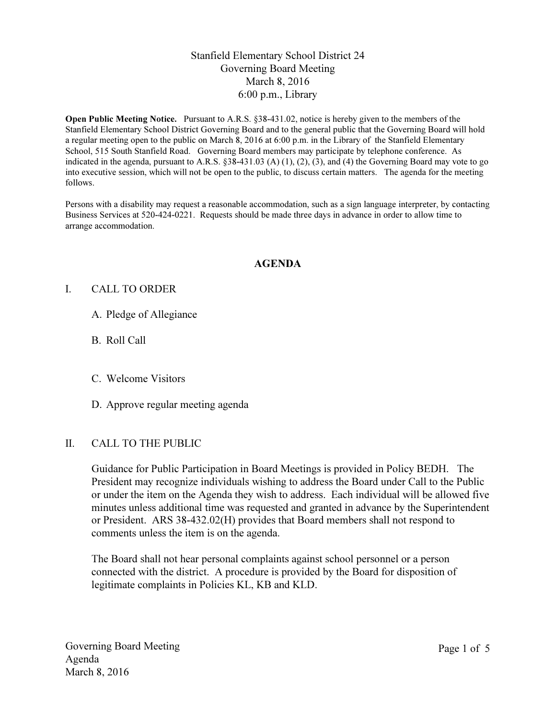# Stanfield Elementary School District 24 Governing Board Meeting March 8, 2016 6:00 p.m., Library

Open Public Meeting Notice. Pursuant to A.R.S. §38-431.02, notice is hereby given to the members of the Stanfield Elementary School District Governing Board and to the general public that the Governing Board will hold a regular meeting open to the public on March 8, 2016 at 6:00 p.m. in the Library of the Stanfield Elementary School, 515 South Stanfield Road. Governing Board members may participate by telephone conference. As indicated in the agenda, pursuant to A.R.S.  $\S 38-431.03$  (A) (1), (2), (3), and (4) the Governing Board may vote to go into executive session, which will not be open to the public, to discuss certain matters. The agenda for the meeting follows.

Persons with a disability may request a reasonable accommodation, such as a sign language interpreter, by contacting Business Services at 520-424-0221. Requests should be made three days in advance in order to allow time to arrange accommodation.

#### AGENDA

#### I. CALL TO ORDER

- A. Pledge of Allegiance
- B. Roll Call
- C. Welcome Visitors
- D. Approve regular meeting agenda

#### II. CALL TO THE PUBLIC

Guidance for Public Participation in Board Meetings is provided in Policy BEDH. The President may recognize individuals wishing to address the Board under Call to the Public or under the item on the Agenda they wish to address. Each individual will be allowed five minutes unless additional time was requested and granted in advance by the Superintendent or President. ARS 38-432.02(H) provides that Board members shall not respond to comments unless the item is on the agenda.

The Board shall not hear personal complaints against school personnel or a person connected with the district. A procedure is provided by the Board for disposition of legitimate complaints in Policies KL, KB and KLD.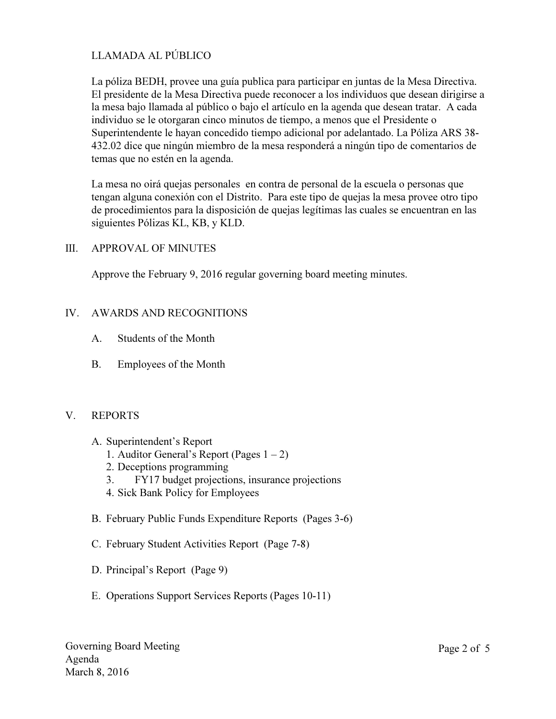# LLAMADA AL PÚBLICO

La póliza BEDH, provee una guía publica para participar en juntas de la Mesa Directiva. El presidente de la Mesa Directiva puede reconocer a los individuos que desean dirigirse a la mesa bajo llamada al público o bajo el artículo en la agenda que desean tratar. A cada individuo se le otorgaran cinco minutos de tiempo, a menos que el Presidente o Superintendente le hayan concedido tiempo adicional por adelantado. La Póliza ARS 38- 432.02 dice que ningún miembro de la mesa responderá a ningún tipo de comentarios de temas que no estén en la agenda.

La mesa no oirá quejas personales en contra de personal de la escuela o personas que tengan alguna conexión con el Distrito. Para este tipo de quejas la mesa provee otro tipo de procedimientos para la disposición de quejas legítimas las cuales se encuentran en las siguientes Pólizas KL, KB, y KLD.

### III. APPROVAL OF MINUTES

Approve the February 9, 2016 regular governing board meeting minutes.

### IV. AWARDS AND RECOGNITIONS

- A. Students of the Month
- B. Employees of the Month

#### V. REPORTS

- A. Superintendent's Report
	- 1. Auditor General's Report (Pages  $1 2$ )
	- 2. Deceptions programming
	- 3. FY17 budget projections, insurance projections
	- 4. Sick Bank Policy for Employees
- B. February Public Funds Expenditure Reports (Pages 3-6)
- C. February Student Activities Report (Page 7-8)
- D. Principal's Report (Page 9)
- E. Operations Support Services Reports (Pages 10-11)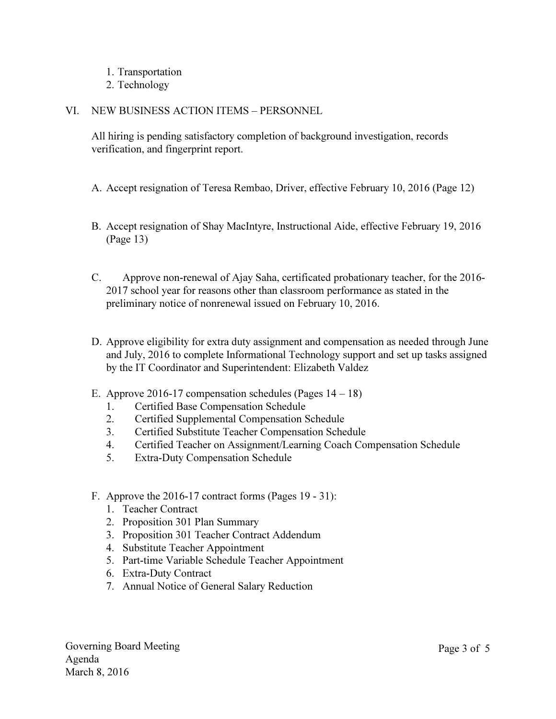- 1. Transportation
- 2. Technology

### VI. NEW BUSINESS ACTION ITEMS – PERSONNEL

All hiring is pending satisfactory completion of background investigation, records verification, and fingerprint report.

- A. Accept resignation of Teresa Rembao, Driver, effective February 10, 2016 (Page 12)
- B. Accept resignation of Shay MacIntyre, Instructional Aide, effective February 19, 2016 (Page 13)
- C. Approve non-renewal of Ajay Saha, certificated probationary teacher, for the 2016- 2017 school year for reasons other than classroom performance as stated in the preliminary notice of nonrenewal issued on February 10, 2016.
- D. Approve eligibility for extra duty assignment and compensation as needed through June and July, 2016 to complete Informational Technology support and set up tasks assigned by the IT Coordinator and Superintendent: Elizabeth Valdez
- E. Approve 2016-17 compensation schedules (Pages 14 18)
	- 1. Certified Base Compensation Schedule
	- 2. Certified Supplemental Compensation Schedule
	- 3. Certified Substitute Teacher Compensation Schedule
	- 4. Certified Teacher on Assignment/Learning Coach Compensation Schedule
	- 5. Extra-Duty Compensation Schedule
- F. Approve the 2016-17 contract forms (Pages 19 31):
	- 1. Teacher Contract
	- 2. Proposition 301 Plan Summary
	- 3. Proposition 301 Teacher Contract Addendum
	- 4. Substitute Teacher Appointment
	- 5. Part-time Variable Schedule Teacher Appointment
	- 6. Extra-Duty Contract
	- 7. Annual Notice of General Salary Reduction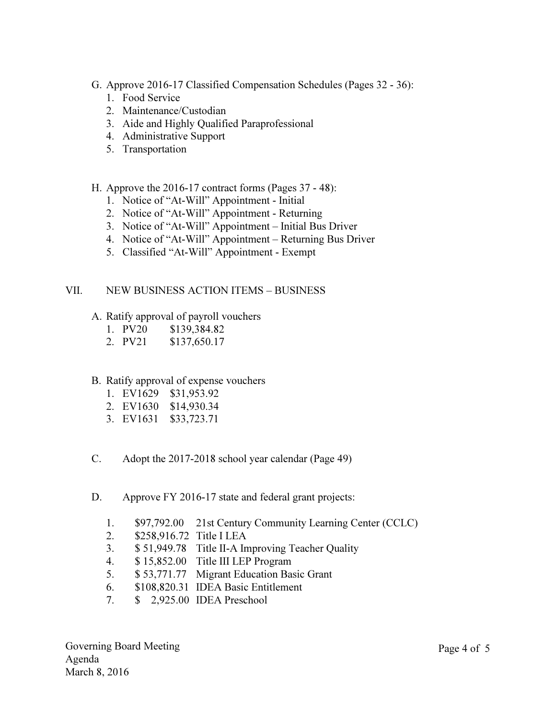- G. Approve 2016-17 Classified Compensation Schedules (Pages 32 36):
	- 1. Food Service
	- 2. Maintenance/Custodian
	- 3. Aide and Highly Qualified Paraprofessional
	- 4. Administrative Support
	- 5. Transportation
- H. Approve the 2016-17 contract forms (Pages 37 48):
	- 1. Notice of "At-Will" Appointment Initial
	- 2. Notice of "At-Will" Appointment Returning
	- 3. Notice of "At-Will" Appointment Initial Bus Driver
	- 4. Notice of "At-Will" Appointment Returning Bus Driver
	- 5. Classified "At-Will" Appointment Exempt

### VII. NEW BUSINESS ACTION ITEMS – BUSINESS

- A. Ratify approval of payroll vouchers
	- 1. PV20 \$139,384.82
	- 2. PV21 \$137,650.17

# B. Ratify approval of expense vouchers

- 1. EV1629 \$31,953.92
- 2. EV1630 \$14,930.34
- 3. EV1631 \$33,723.71
- C. Adopt the 2017-2018 school year calendar (Page 49)
- D. Approve FY 2016-17 state and federal grant projects:
	- 1. \$97,792.00 21st Century Community Learning Center (CCLC)
	- 2. \$258,916.72 Title I LEA
	- 3. \$ 51,949.78 Title II-A Improving Teacher Quality
	- 4. \$ 15,852.00 Title III LEP Program
	- 5. \$ 53,771.77 Migrant Education Basic Grant
	- 6. \$108,820.31 IDEA Basic Entitlement
	- 7. \$ 2,925.00 IDEA Preschool

Governing Board Meeting Agenda March 8, 2016